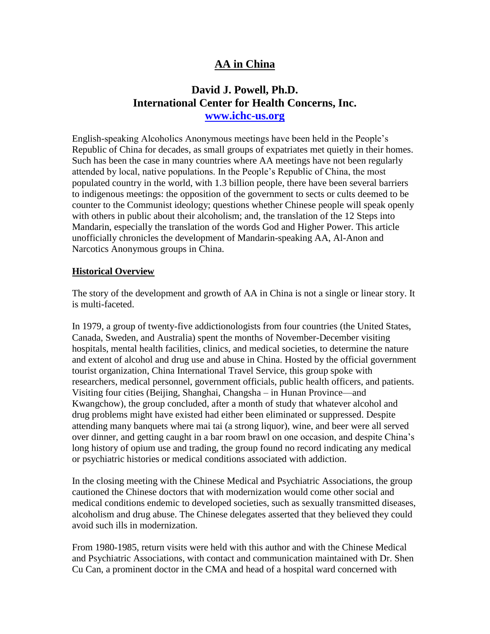## **AA in China**

## **David J. Powell, Ph.D. International Center for Health Concerns, Inc. [www.ichc-us.org](http://www.ichc-us.org/)**

English-speaking Alcoholics Anonymous meetings have been held in the People's Republic of China for decades, as small groups of expatriates met quietly in their homes. Such has been the case in many countries where AA meetings have not been regularly attended by local, native populations. In the People's Republic of China, the most populated country in the world, with 1.3 billion people, there have been several barriers to indigenous meetings: the opposition of the government to sects or cults deemed to be counter to the Communist ideology; questions whether Chinese people will speak openly with others in public about their alcoholism; and, the translation of the 12 Steps into Mandarin, especially the translation of the words God and Higher Power. This article unofficially chronicles the development of Mandarin-speaking AA, Al-Anon and Narcotics Anonymous groups in China.

## **Historical Overview**

The story of the development and growth of AA in China is not a single or linear story. It is multi-faceted.

In 1979, a group of twenty-five addictionologists from four countries (the United States, Canada, Sweden, and Australia) spent the months of November-December visiting hospitals, mental health facilities, clinics, and medical societies, to determine the nature and extent of alcohol and drug use and abuse in China. Hosted by the official government tourist organization, China International Travel Service, this group spoke with researchers, medical personnel, government officials, public health officers, and patients. Visiting four cities (Beijing, Shanghai, Changsha – in Hunan Province—and Kwangchow), the group concluded, after a month of study that whatever alcohol and drug problems might have existed had either been eliminated or suppressed. Despite attending many banquets where mai tai (a strong liquor), wine, and beer were all served over dinner, and getting caught in a bar room brawl on one occasion, and despite China's long history of opium use and trading, the group found no record indicating any medical or psychiatric histories or medical conditions associated with addiction.

In the closing meeting with the Chinese Medical and Psychiatric Associations, the group cautioned the Chinese doctors that with modernization would come other social and medical conditions endemic to developed societies, such as sexually transmitted diseases, alcoholism and drug abuse. The Chinese delegates asserted that they believed they could avoid such ills in modernization.

From 1980-1985, return visits were held with this author and with the Chinese Medical and Psychiatric Associations, with contact and communication maintained with Dr. Shen Cu Can, a prominent doctor in the CMA and head of a hospital ward concerned with